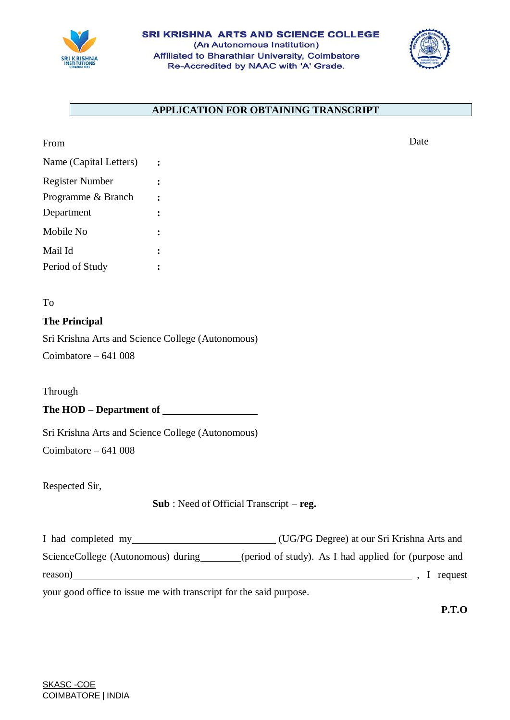



# **APPLICATION FOR OBTAINING TRANSCRIPT**

| From                   |  |
|------------------------|--|
| Name (Capital Letters) |  |
| <b>Register Number</b> |  |
| Programme & Branch     |  |
| Department             |  |
| Mobile No              |  |
| Mail Id                |  |
| Period of Study        |  |

To

## **The Principal**

Sri Krishna Arts and Science College (Autonomous) Coimbatore – 641 008

Through

**The HOD – Department of**

Sri Krishna Arts and Science College (Autonomous)

Coimbatore – 641 008

Respected Sir,

### **Sub** : Need of Official Transcript – **reg.**

I had completed my (UG/PG Degree) at our Sri Krishna Arts and ScienceCollege (Autonomous) during (period of study). As I had applied for (purpose and reason) **1**, I request

your good office to issue me with transcript for the said purpose.

**P.T.O**

Date